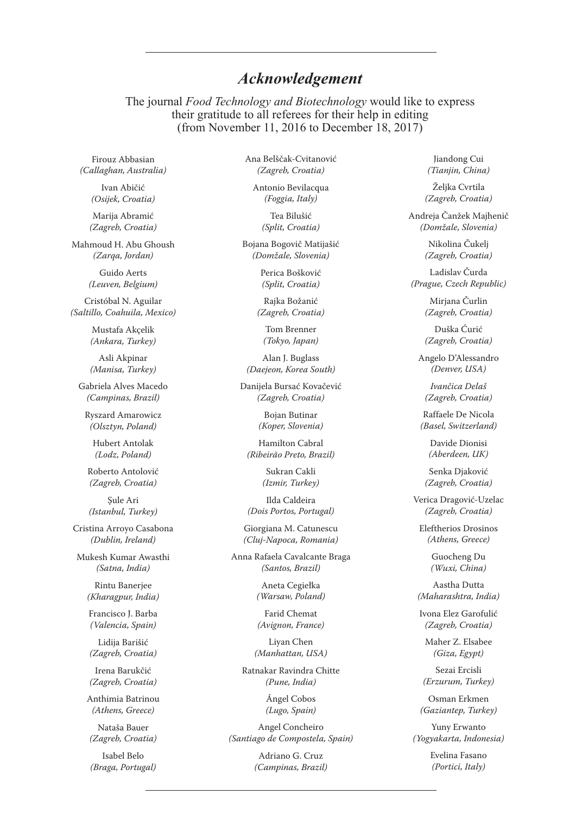## *Acknowledgement*

The journal *Food Technology and Biotechnology* would like to express their gratitude to all referees for their help in editing (from November 11, 2016 to December 18, 2017)

Firouz Abbasian *(Callaghan, Australia)*

> Ivan Abičić *(Osijek, Croatia)*

Marija Abramić *(Zagreb, Croatia)*

Mahmoud H. Abu Ghoush *(Zarqa, Jordan)*

> Guido Aerts *(Leuven, Belgium)*

Cristóbal N. Aguilar *(Saltillo, Coahuila, Mexico)*

> Mustafa Akçelik *(Ankara, Turkey)*

Asli Akpinar *(Manisa, Turkey)*

Gabriela Alves Macedo *(Campinas, Brazil)*

Ryszard Amarowicz *(Olsztyn, Poland)*

Hubert Antolak *(Lodz, Poland)*

Roberto Antolović *(Zagreb, Croatia)*

Şule Ari *(Istanbul, Turkey)*

Cristina Arroyo Casabona *(Dublin, Ireland)*

Mukesh Kumar Awasthi *(Satna, India)*

> Rintu Banerjee *(Kharagpur, India)*

Francisco J. Barba *(Valencia, Spain)*

Lidija Barišić *(Zagreb, Croatia)*

Irena Barukčić *(Zagreb, Croatia)*

Anthimia Batrinou *(Athens, Greece)*

Nataša Bauer *(Zagreb, Croatia)*

Isabel Belo *(Braga, Portugal)* Ana Belščak-Cvitanović *(Zagreb, Croatia)*

Antonio Bevilacqua *(Foggia, Italy)*

> Tea Bilušić *(Split, Croatia)*

Bojana Bogovič Matijašić *(Domžale, Slovenia)*

> Perica Bošković *(Split, Croatia)*

Rajka Božanić *(Zagreb, Croatia)*

Tom Brenner *(Tokyo, Japan)*

Alan J. Buglass *(Daejeon, Korea South)*

Danijela Bursać Kovačević *(Zagreb, Croatia)*

> Bojan Butinar *(Koper, Slovenia)*

Hamilton Cabral *(Ribeirão Preto, Brazil)*

> Sukran Cakli *(Izmir, Turkey)*

Ilda Caldeira *(Dois Portos, Portugal)*

Giorgiana M. Catunescu *(Cluj-Napoca, Romania)*

Anna Rafaela Cavalcante Braga *(Santos, Brazil)*

> Aneta Cegiełka *(Warsaw, Poland)*

Farid Chemat *(Avignon, France)*

Liyan Chen *(Manhattan, USA)*

Ratnakar Ravindra Chitte *(Pune, India)*

> Ángel Cobos *(Lugo, Spain)*

Angel Concheiro *(Santiago de Compostela, Spain)*

> Adriano G. Cruz *(Campinas, Brazil)*

Jiandong Cui *(Tianjin, China)*

Želika Cvrtila *(Zagreb, Croatia)*

Andreja Čanžek Majhenič *(Domžale, Slovenia)*

> Nikolina Čukelj *(Zagreb, Croatia)*

Ladislav Čurda *(Prague, Czech Republic)*

> Mirjana Čurlin *(Zagreb, Croatia)*

> Duška Ćurić *(Zagreb, Croatia)*

Angelo D'Alessandro *(Denver, USA)*

*Ivančica Delaš (Zagreb, Croatia)*

Raffaele De Nicola *(Basel, Switzerland)*

> Davide Dionisi *(Aberdeen, UK)*

Senka Djaković *(Zagreb, Croatia)*

Verica Dragović-Uzelac *(Zagreb, Croatia)*

Eleftherios Drosinos *(Athens, Greece)*

> Guocheng Du *(Wuxi, China)*

Aastha Dutta *(Maharashtra, India)*

Ivona Elez Garofulić *(Zagreb, Croatia)*

Maher Z. Elsabee *(Giza, Egypt)*

Sezai Ercisli *(Erzurum, Turkey)*

Osman Erkmen *(Gaziantep, Turkey)*

Yuny Erwanto *(Yogyakarta, Indonesia)*

> Evelina Fasano *(Portici, Italy)*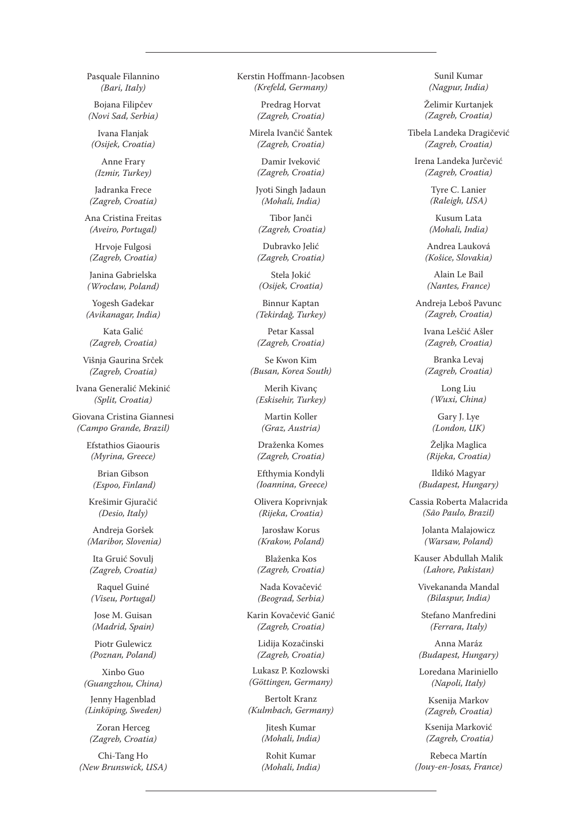Pasquale Filannino *(Bari, Italy)*

Bojana Filipčev *(Novi Sad, Serbia)*

Ivana Flanjak *(Osijek, Croatia)*

Anne Frary *(Izmir, Turkey)*

Jadranka Frece *(Zagreb, Croatia)*

Ana Cristina Freitas *(Aveiro, Portugal)*

Hrvoje Fulgosi *(Zagreb, Croatia)*

Janina Gabrielska *(Wrocław, Poland)*

Yogesh Gadekar *(Avikanagar, India)*

Kata Galić *(Zagreb, Croatia)*

Višnja Gaurina Srček *(Zagreb, Croatia)*

Ivana Generalić Mekinić *(Split, Croatia)*

Giovana Cristina Giannesi *(Campo Grande, Brazil)*

> Efstathios Giaouris *(Myrina, Greece)*

Brian Gibson  *(Espoo, Finland)*

Krešimir Gjuračić *(Desio, Italy)*

Andreja Goršek  *(Maribor, Slovenia)*

Ita Gruić Sovulj *(Zagreb, Croatia)*

Raquel Guiné *(Viseu, Portugal)*

Jose M. Guisan *(Madrid, Spain)*

Piotr Gulewicz *(Poznan, Poland)*

Xinbo Guo *(Guangzhou, China)*

Jenny Hagenblad *(Linköping, Sweden)*

Zoran Herceg *(Zagreb, Croatia)*

Chi-Tang Ho *(New Brunswick, USA)* Kerstin Hoffmann-Jacobsen *(Krefeld, Germany)*

> Predrag Horvat *(Zagreb, Croatia)*

Mirela Ivančić Šantek *(Zagreb, Croatia)*

Damir Iveković *(Zagreb, Croatia)*

Jyoti Singh Jadaun *(Mohali, India)*

Tibor Janči  *(Zagreb, Croatia)*

Dubravko Jelić *(Zagreb, Croatia)*

Stela Jokić *(Osijek, Croatia)*

Binnur Kaptan *(Tekirdağ, Turkey)*

Petar Kassal *(Zagreb, Croatia)*

Se Kwon Kim *(Busan, Korea South)*

Merih Kivanç *(Eskisehir, Turkey)*

Martin Koller *(Graz, Austria)*

Draženka Komes *(Zagreb, Croatia)*

Efthymia Kondyli  *(Ioannina, Greece)*

Olivera Koprivnjak *(Rijeka, Croatia)*

Jarosław Korus *(Krakow, Poland)*

Blaženka Kos *(Zagreb, Croatia)*

Nada Kovačević *(Beograd, Serbia)*

Karin Kovačević Ganić *(Zagreb, Croatia)*

Lidija Kozačinski *(Zagreb, Croatia)*

Lukasz P. Kozlowski *(Göttingen, Germany)*

Bertolt Kranz *(Kulmbach, Germany)*

> Jitesh Kumar *(Mohali, India)*

Rohit Kumar *(Mohali, India)*

Sunil Kumar *(Nagpur, India)*

Želimir Kurtanjek *(Zagreb, Croatia)*

Tibela Landeka Dragičević *(Zagreb, Croatia)*

Irena Landeka Jurčević *(Zagreb, Croatia)*

> Tyre C. Lanier *(Raleigh, USA)*

Kusum Lata *(Mohali, India)*

Andrea Lauková *(Košice, Slovakia)*

Alain Le Bail *(Nantes, France)*

Andreja Leboš Pavunc *(Zagreb, Croatia)*

Ivana Leščić Ašler *(Zagreb, Croatia)*

Branka Levaj *(Zagreb, Croatia)*

Long Liu *(Wuxi, China)*

Gary J. Lye *(London, UK)*

Željka Maglica *(Rijeka, Croatia)*

Ildikó Magyar *(Budapest, Hungary)*

Cassia Roberta Malacrida *(São Paulo, Brazil)*

> Jolanta Malajowicz *(Warsaw, Poland)*

Kauser Abdullah Malik *(Lahore, Pakistan)*

Vivekananda Mandal *(Bilaspur, India)*

Stefano Manfredini *(Ferrara, Italy)*

Anna Maráz *(Budapest, Hungary)*

Loredana Mariniello *(Napoli, Italy)*

Ksenija Markov *(Zagreb, Croatia)*

Ksenija Marković  *(Zagreb, Croatia)*

Rebeca Martín *(Jouy-en-Josas, France)*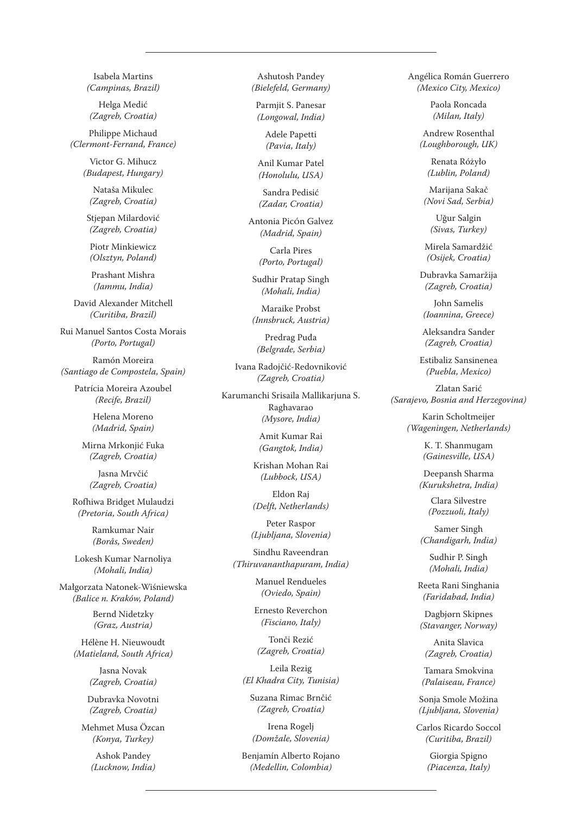Isabela Martins *(Campinas, Brazil)*

Helga Medić *(Zagreb, Croatia)*

Philippe Michaud *(Clermont-Ferrand, France)*

> Victor G. Mihucz *(Budapest, Hungary)*

Nataša Mikulec *(Zagreb, Croatia)*

Stjepan Milardović *(Zagreb, Croatia)*

Piotr Minkiewicz *(Olsztyn, Poland)*

Prashant Mishra *(Jammu, India)*

David Alexander Mitchell *(Curitiba, Brazil)*

Rui Manuel Santos Costa Morais *(Porto, Portugal)*

Ramón Moreira *(Santiago de Compostela, Spain)*

> Patrícia Moreira Azoubel *(Recife, Brazil)*

> > Helena Moreno *(Madrid, Spain)*

Mirna Mrkonjić Fuka *(Zagreb, Croatia)*

Jasna Mrvčić *(Zagreb, Croatia)*

Rofhiwa Bridget Mulaudzi *(Pretoria, South Africa)*

> Ramkumar Nair *(Borås, Sweden)*

Lokesh Kumar Narnoliya *(Mohali, India)*

Małgorzata Natonek-Wiśniewska *(Balice n. Kraków, Poland)*

> Bernd Nidetzky *(Graz, Austria)*

Hélène H. Nieuwoudt *(Matieland, South Africa)*

> Jasna Novak *(Zagreb, Croatia)*

Dubravka Novotni *(Zagreb, Croatia)*

Mehmet Musa Özcan *(Konya, Turkey)*

> Ashok Pandey *(Lucknow, India)*

Ashutosh Pandey *(Bielefeld, Germany)*

Parmjit S. Panesar *(Longowal, India)*

> Adele Papetti *(Pavia, Italy)*

Anil Kumar Patel *(Honolulu, USA)*

Sandra Pedisić *(Zadar, Croatia)*

Antonia PicÓn Galvez *(Madrid, Spain)*

> Carla Pires *(Porto, Portugal)*

Sudhir Pratap Singh *(Mohali, India)*

Maraike Probst *(Innsbruck, Austria)*

Predrag Puđa *(Belgrade, Serbia)*

Ivana Radojčić-Redovniković *(Zagreb, Croatia)*

Karumanchi Srisaila Mallikarjuna S. Raghavarao *(Mysore, India)*

> Amit Kumar Rai *(Gangtok, India)*

Krishan Mohan Rai *(Lubbock, USA)*

Eldon Raj *(Delft, Netherlands)*

Peter Raspor *(Ljubljana, Slovenia)*

Sindhu Raveendran *(Thiruvananthapuram, India)*

> Manuel Rendueles *(Oviedo, Spain)*

Ernesto Reverchon *(Fisciano, Italy)*

Tonči Rezić *(Zagreb, Croatia)*

Leila Rezig *(El Khadra City, Tunisia)*

Suzana Rimac Brnčić *(Zagreb, Croatia)*

Irena Rogelj *(Domžale, Slovenia)*

Benjamín Alberto Rojano *(Medellin, Colombia)*

Angélica Román Guerrero *(Mexico City, Mexico)*

> Paola Roncada *(Milan, Italy)*

Andrew Rosenthal *(Loughborough, UK)*

> Renata Różyło *(Lublin, Poland)*

Marijana Sakač *(Novi Sad, Serbia)*

Uğur Salgin *(Sivas, Turkey)*

Mirela Samardžić *(Osijek, Croatia)*

Dubravka Samaržija *(Zagreb, Croatia)*

John Samelis *(Ioannina, Greece)*

Aleksandra Sander *(Zagreb, Croatia)*

Estibaliz Sansinenea *(Puebla, Mexico)*

Zlatan Sarić *(Sarajevo, Bosnia and Herzegovina)*

> Karin Scholtmeijer *(Wageningen, Netherlands)*

> > K. T. Shanmugam *(Gainesville, USA)*

Deepansh Sharma *(Kurukshetra, India)*

> Clara Silvestre *(Pozzuoli, Italy)*

Samer Singh *(Chandigarh, India)*

Sudhir P. Singh *(Mohali, India)*

Reeta Rani Singhania *(Faridabad, India)*

Dagbjørn Skipnes *(Stavanger, Norway)*

Anita Slavica *(Zagreb, Croatia)*

Tamara Smokvina *(Palaiseau, France)*

Sonja Smole Možina *(Ljubljana, Slovenia)*

Carlos Ricardo Soccol *(Curitiba, Brazil)*

> Giorgia Spigno *(Piacenza, Italy)*